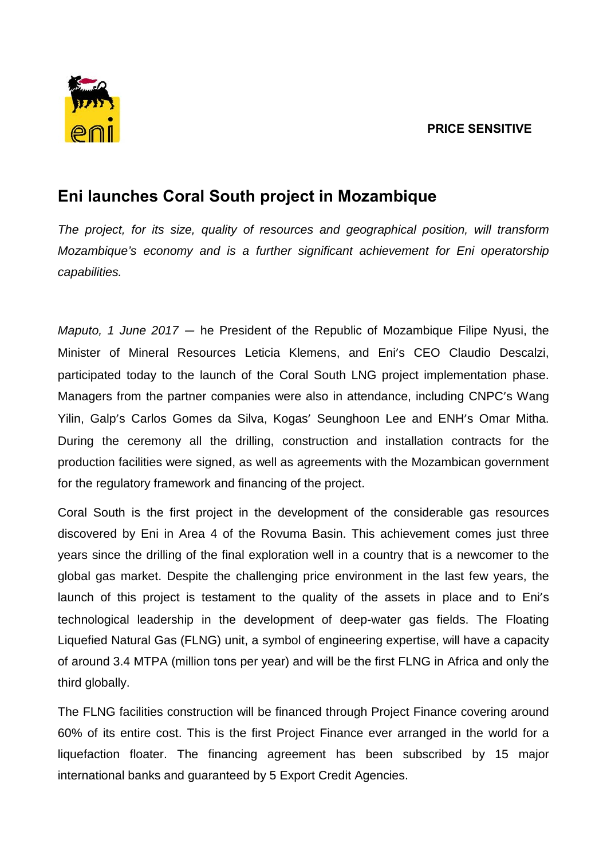## **PRICE SENSITIVE**



## **Eni launches Coral South project in Mozambique**

*The project, for its size, quality of resources and geographical position, will transform Mozambique's economy and is a further significant achievement for Eni operatorship capabilities.*

*Maputo, 1 June 2017 —* he President of the Republic of Mozambique Filipe Nyusi, the Minister of Mineral Resources Leticia Klemens, and Eni's CEO Claudio Descalzi, participated today to the launch of the Coral South LNG project implementation phase. Managers from the partner companies were also in attendance, including CNPC's Wang Yilin, Galp's Carlos Gomes da Silva, Kogas' Seunghoon Lee and ENH's Omar Mitha. During the ceremony all the drilling, construction and installation contracts for the production facilities were signed, as well as agreements with the Mozambican government for the regulatory framework and financing of the project.

Coral South is the first project in the development of the considerable gas resources discovered by Eni in Area 4 of the Rovuma Basin. This achievement comes just three years since the drilling of the final exploration well in a country that is a newcomer to the global gas market. Despite the challenging price environment in the last few years, the launch of this project is testament to the quality of the assets in place and to Eni's technological leadership in the development of deep-water gas fields. The Floating Liquefied Natural Gas (FLNG) unit, a symbol of engineering expertise, will have a capacity of around 3.4 MTPA (million tons per year) and will be the first FLNG in Africa and only the third globally.

The FLNG facilities construction will be financed through Project Finance covering around 60% of its entire cost. This is the first Project Finance ever arranged in the world for a liquefaction floater. The financing agreement has been subscribed by 15 major international banks and guaranteed by 5 Export Credit Agencies.